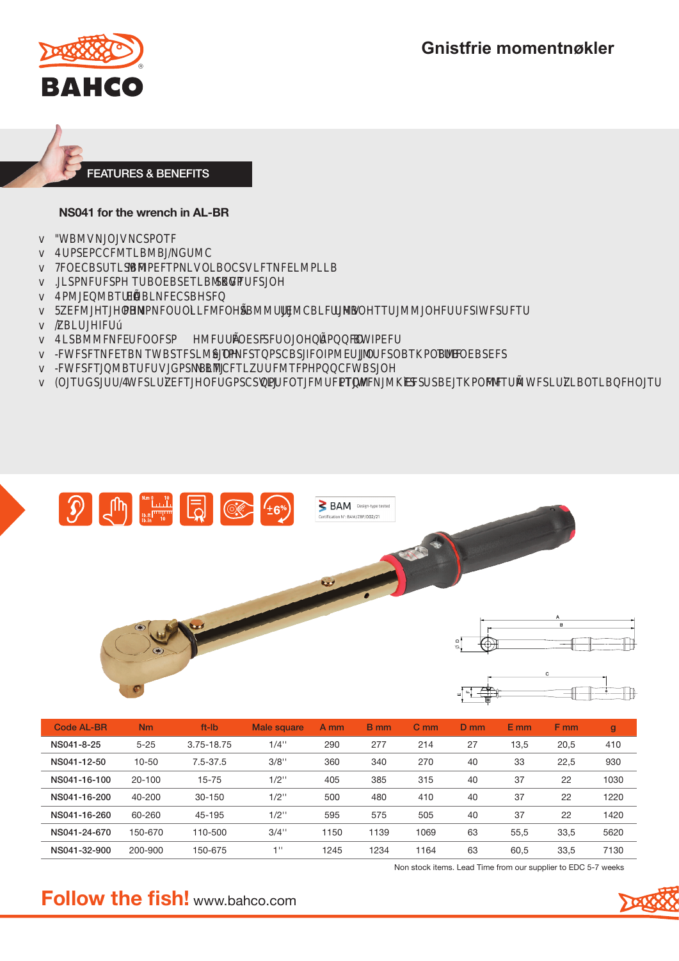**Gnistfrie momentnøkler** 





#### NS041 for the wrench in AL-BR

| <b>MINMCSXX</b> |  |
|-----------------|--|
|-----------------|--|

- **4 RECOMTLIVINGMC**  $\overline{V}$
- 78CSTILSM MATNLASSETNELMELT
- **INSINER TMSETLIVIGX** SKKKK  $\overline{V}$
- **EXNECSX SXX** 4 MY RIM THAT  $\overline{V}$
- **5XWM XXXLM MEXYIME MICKNIX MIMINING XXX**  $\overline{V}$
- $\sqrt{2}$
- 4 LSMMMS XX **Example 20 No. 2 State 3 No. 2 State 3 No. 2 State 3 No. 2 State 3 No. 2 State 3 No. 2 State 3 No. 3 State 3 N** MX  $\vee$
- TESTSLMENT TNSTECS **METRUM**  $M$   $H$ XXXXXX **TMSES**  $\vee$
- *BUINTING SNETTS* N MCXL**M TAX**  $\vee$
- MKMSLMKINK **MGSXX MMSCSM XXXXX EXSKIM MYMTM**  $\overline{V}$





| Code AL-BR   | <b>Nm</b>  | ft-lb        | Male square | A mm | <b>B</b> mm | C <sub>m</sub> | $D$ mm | $E$ mm | F <sub>mm</sub> | $\mathbf{g}$ |
|--------------|------------|--------------|-------------|------|-------------|----------------|--------|--------|-----------------|--------------|
| NS041-8-25   | $5 - 25$   | 3.75-18.75   | $1/4$ "     | 290  | 277         | 214            | 27     | 13,5   | 20,5            | 410          |
| NS041-12-50  | $10 - 50$  | $7.5 - 37.5$ | $3/8$ "     | 360  | 340         | 270            | 40     | 33     | 22,5            | 930          |
| NS041-16-100 | $20 - 100$ | $15 - 75$    | $1/2$ "     | 405  | 385         | 315            | 40     | 37     | 22              | 1030         |
| NS041-16-200 | 40-200     | $30 - 150$   | $1/2$ "     | 500  | 480         | 410            | 40     | 37     | 22              | 1220         |
| NS041-16-260 | 60-260     | 45-195       | $1/2$ "     | 595  | 575         | 505            | 40     | 37     | 22              | 1420         |
| NS041-24-670 | 150-670    | 110-500      | $3/4$ "     | 1150 | 1139        | 1069           | 63     | 55.5   | 33,5            | 5620         |
| NS041-32-900 | 200-900    | 150-675      | $-111$      | 1245 | 1234        | 1164           | 63     | 60,5   | 33,5            | 7130         |

Non stock items. Lead Time from our supplier to EDC 5-7 weeks

# **Follow the fish!** www.bahco.com